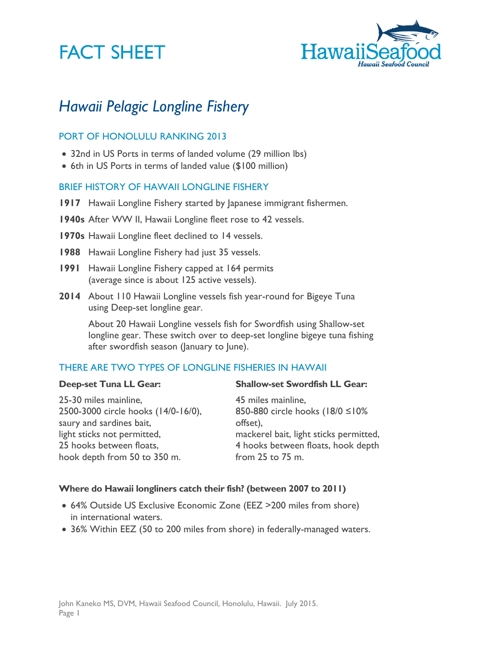# **FACT SHEET**



# *Hawaii Pelagic Longline Fishery*

# PORT OF HONOLULU RANKING 2013

- 32nd in US Ports in terms of landed volume (29 million lbs)
- 6th in US Ports in terms of landed value (\$100 million)

#### BRIEF HISTORY OF HAWAII LONGLINE FISHERY

- **1917** Hawaii Longline Fishery started by Japanese immigrant fishermen.
- **1940s** After WW II, Hawaii Longline fleet rose to 42 vessels.
- **1970s** Hawaii Longline fleet declined to 14 vessels.
- **1988** Hawaii Longline Fishery had just 35 vessels.
- **1991** Hawaii Longline Fishery capped at 164 permits (average since is about 125 active vessels).
- **2014** About 110 Hawaii Longline vessels fish year-round for Bigeye Tuna using Deep-set longline gear.

About 20 Hawaii Longline vessels fish for Swordfish using Shallow-set longline gear. These switch over to deep-set longline bigeye tuna fishing after swordfish season (January to June).

### THERE ARE TWO TYPES OF LONGLINE FISHERIES IN HAWAII

#### **Deep-set Tuna LL Gear:**

25-30 miles mainline, 2500-3000 circle hooks (14/0-16/0), saury and sardines bait, light sticks not permitted, 25 hooks between floats, hook depth from 50 to 350 m.

#### **Shallow-set Swordfish LL Gear:**

45 miles mainline, 850-880 circle hooks (18/0 ≤10% offset), mackerel bait, light sticks permitted, 4 hooks between floats, hook depth from 25 to 75 m.

#### **Where do Hawaii longliners catch their fish? (between 2007 to 2011)**

- 64% Outside US Exclusive Economic Zone (EEZ >200 miles from shore) in international waters.
- 36% Within EEZ (50 to 200 miles from shore) in federally-managed waters.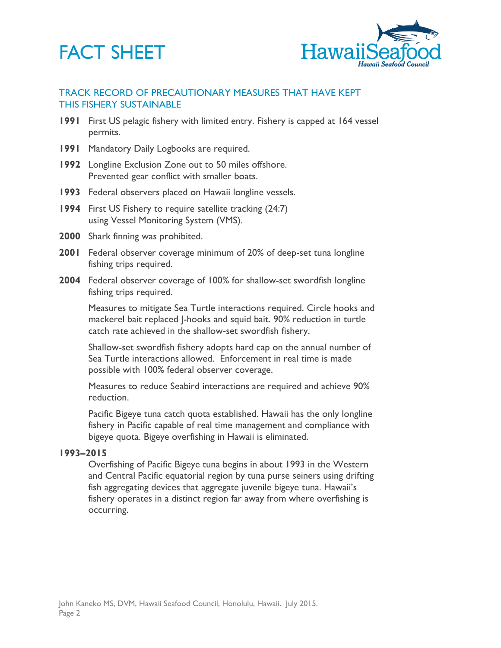# **FACT SHEET**



## TRACK RECORD OF PRECAUTIONARY MEASURES THAT HAVE KEPT THIS FISHERY SUSTAINABLE

- **1991** First US pelagic fishery with limited entry. Fishery is capped at 164 vessel permits.
- **1991** Mandatory Daily Logbooks are required.
- **1992** Longline Exclusion Zone out to 50 miles offshore. Prevented gear conflict with smaller boats.
- **1993** Federal observers placed on Hawaii longline vessels.
- **1994** First US Fishery to require satellite tracking (24:7) using Vessel Monitoring System (VMS).
- **2000** Shark finning was prohibited.
- **2001** Federal observer coverage minimum of 20% of deep-set tuna longline fishing trips required.
- **2004** Federal observer coverage of 100% for shallow-set swordfish longline fishing trips required.

Measures to mitigate Sea Turtle interactions required. Circle hooks and mackerel bait replaced J-hooks and squid bait. 90% reduction in turtle catch rate achieved in the shallow-set swordfish fishery.

Shallow-set swordfish fishery adopts hard cap on the annual number of Sea Turtle interactions allowed. Enforcement in real time is made possible with 100% federal observer coverage.

Measures to reduce Seabird interactions are required and achieve 90% reduction.

Pacific Bigeye tuna catch quota established. Hawaii has the only longline fishery in Pacific capable of real time management and compliance with bigeye quota. Bigeye overfishing in Hawaii is eliminated.

#### **1993–2015**

Overfishing of Pacific Bigeye tuna begins in about 1993 in the Western and Central Pacific equatorial region by tuna purse seiners using drifting fish aggregating devices that aggregate juvenile bigeye tuna. Hawaii's fishery operates in a distinct region far away from where overfishing is occurring.